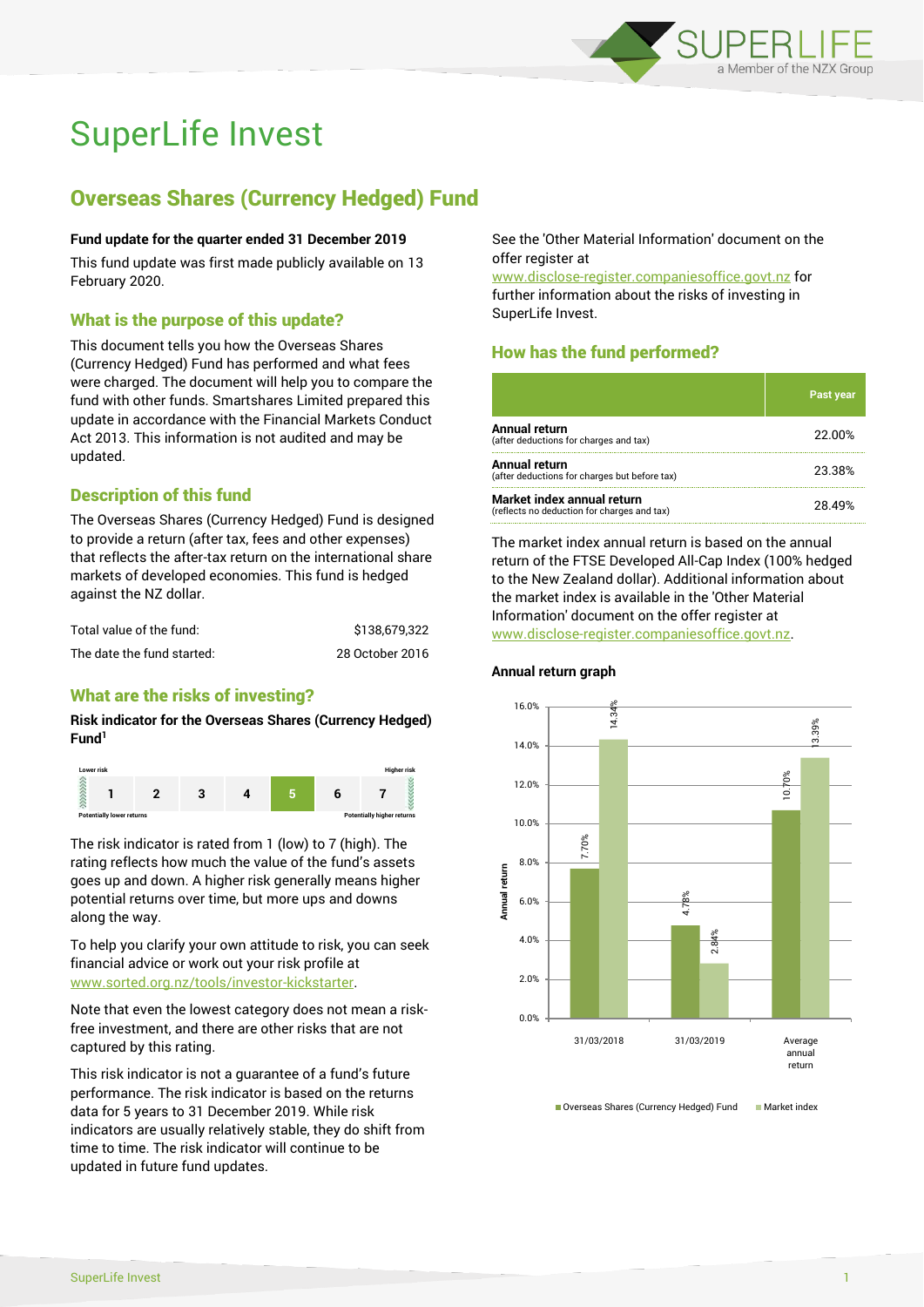

# SuperLife Invest

# Overseas Shares (Currency Hedged) Fund

#### **Fund update for the quarter ended 31 December 2019**

This fund update was first made publicly available on 13 February 2020.

#### What is the purpose of this update?

This document tells you how the Overseas Shares (Currency Hedged) Fund has performed and what fees were charged. The document will help you to compare the fund with other funds. Smartshares Limited prepared this update in accordance with the Financial Markets Conduct Act 2013. This information is not audited and may be updated.

#### Description of this fund

The Overseas Shares (Currency Hedged) Fund is designed to provide a return (after tax, fees and other expenses) that reflects the after-tax return on the international share markets of developed economies. This fund is hedged against the NZ dollar.

| Total value of the fund:   | \$138,679.322   |
|----------------------------|-----------------|
| The date the fund started: | 28 October 2016 |

#### What are the risks of investing?

**Risk indicator for the Overseas Shares (Currency Hedged) Fund<sup>1</sup>**



The risk indicator is rated from 1 (low) to 7 (high). The rating reflects how much the value of the fund's assets goes up and down. A higher risk generally means higher potential returns over time, but more ups and downs along the way.

To help you clarify your own attitude to risk, you can seek financial advice or work out your risk profile at [www.sorted.org.nz/tools/investor-kickstarter.](http://www.sorted.org.nz/tools/investor-kickstarter)

Note that even the lowest category does not mean a riskfree investment, and there are other risks that are not captured by this rating.

This risk indicator is not a guarantee of a fund's future performance. The risk indicator is based on the returns data for 5 years to 31 December 2019. While risk indicators are usually relatively stable, they do shift from time to time. The risk indicator will continue to be updated in future fund updates.

See the 'Other Material Information' document on the offer register at

www.disclose-register.companiesoffice.govt.nz for further information about the risks of investing in SuperLife Invest.

# How has the fund performed?

|                                                                           | <b>Past year</b> |
|---------------------------------------------------------------------------|------------------|
| <b>Annual return</b><br>(after deductions for charges and tax)            | 22.00%           |
| Annual return<br>(after deductions for charges but before tax)            | 23.38%           |
| Market index annual return<br>(reflects no deduction for charges and tax) | 28.49%           |

The market index annual return is based on the annual return of the FTSE Developed All-Cap Index (100% hedged to the New Zealand dollar). Additional information about the market index is available in the 'Other Material Information' document on the offer register at www.disclose-register.companiesoffice.govt.nz.



■ Overseas Shares (Currency Hedged) Fund Market index

#### **Annual return graph**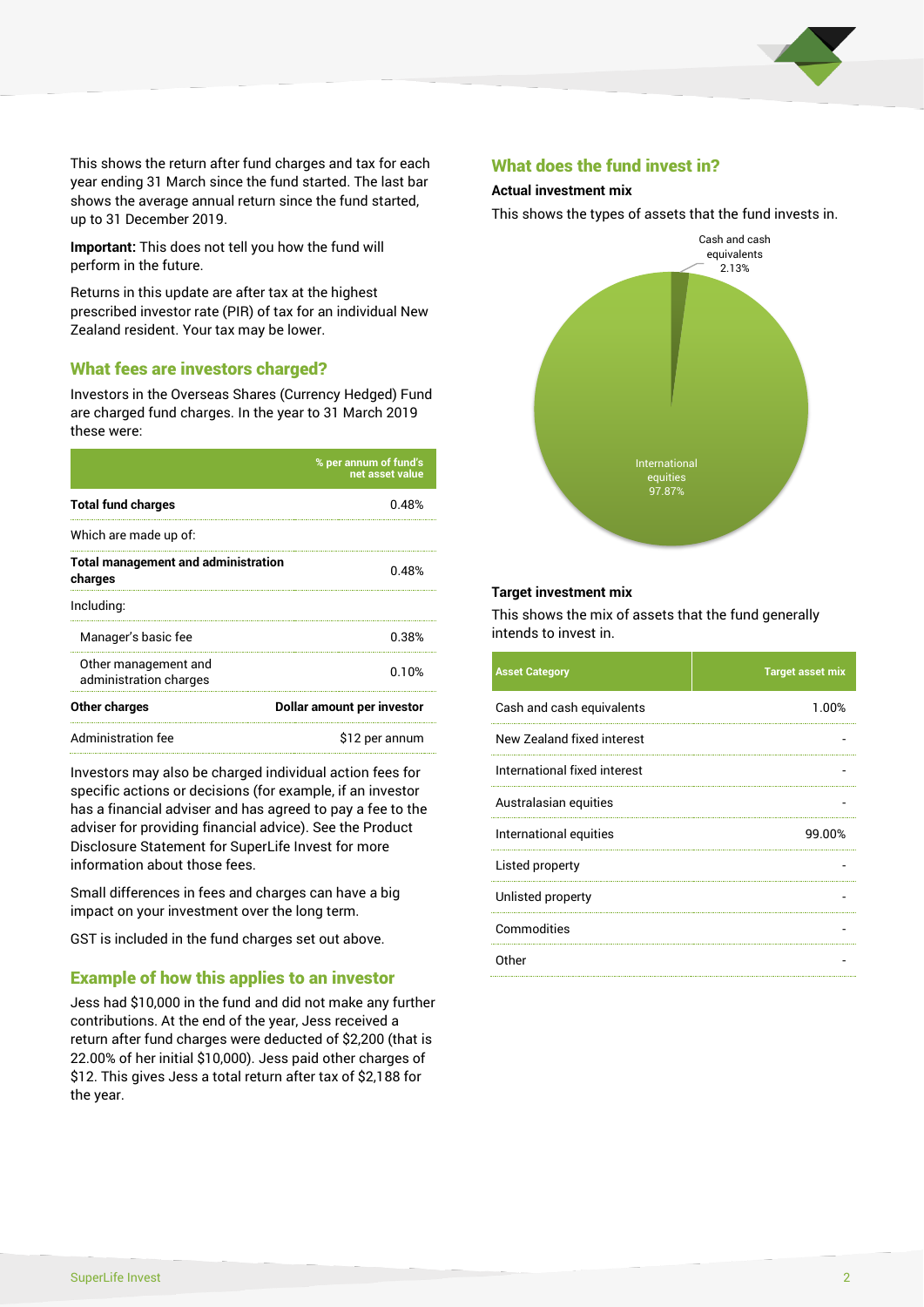

This shows the return after fund charges and tax for each year ending 31 March since the fund started. The last bar shows the average annual return since the fund started, up to 31 December 2019.

**Important:** This does not tell you how the fund will perform in the future.

Returns in this update are after tax at the highest prescribed investor rate (PIR) of tax for an individual New Zealand resident. Your tax may be lower.

#### What fees are investors charged?

Investors in the Overseas Shares (Currency Hedged) Fund are charged fund charges. In the year to 31 March 2019 these were:

|                                                       | % per annum of fund's<br>net asset value |  |
|-------------------------------------------------------|------------------------------------------|--|
| <b>Total fund charges</b>                             | በ 48%                                    |  |
| Which are made up of:                                 |                                          |  |
| <b>Total management and administration</b><br>charges | 0.48%                                    |  |
| Including:                                            |                                          |  |
| Manager's basic fee                                   | 0.38%                                    |  |
| Other management and<br>administration charges        | በ 1 በ%                                   |  |
| Other charges                                         | Dollar amount per investor               |  |
| Administration fee                                    | \$12 per annum                           |  |

Investors may also be charged individual action fees for specific actions or decisions (for example, if an investor has a financial adviser and has agreed to pay a fee to the adviser for providing financial advice). See the Product Disclosure Statement for SuperLife Invest for more information about those fees.

Small differences in fees and charges can have a big impact on your investment over the long term.

GST is included in the fund charges set out above.

## Example of how this applies to an investor

Jess had \$10,000 in the fund and did not make any further contributions. At the end of the year, Jess received a return after fund charges were deducted of \$2,200 (that is 22.00% of her initial \$10,000). Jess paid other charges of \$12. This gives Jess a total return after tax of \$2,188 for the year.

#### What does the fund invest in?

#### **Actual investment mix**

This shows the types of assets that the fund invests in.



#### **Target investment mix**

This shows the mix of assets that the fund generally intends to invest in.

| <b>Asset Category</b>        | <b>Target asset mix</b> |
|------------------------------|-------------------------|
| Cash and cash equivalents    | 1.00%                   |
| New Zealand fixed interest   |                         |
| International fixed interest |                         |
| Australasian equities        |                         |
| International equities       | 99.00%                  |
| Listed property              |                         |
| Unlisted property            |                         |
| Commodities                  |                         |
| Other                        |                         |